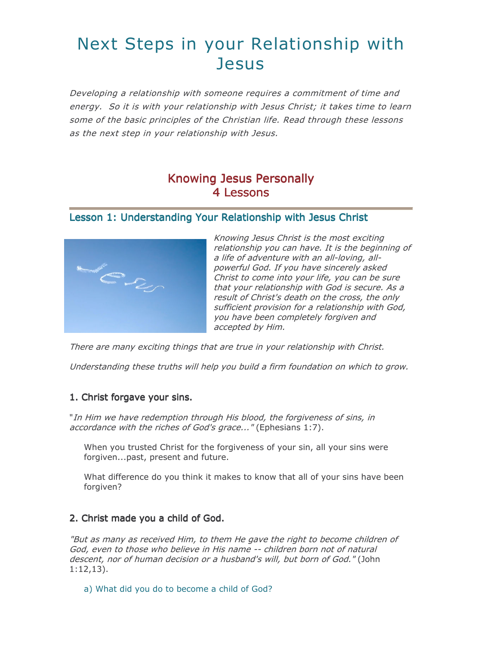# Next Steps in your Relationship with **Jesus**

Developing a relationship with someone requires a commitment of time and energy. So it is with your relationship with Jesus Christ; it takes time to learn some of the basic principles of the Christian life. Read through these lessons as the next step in your relationship with Jesus.

### **Knowing Jesus Personally** 4 Lessons

#### Lesson 1: Understanding Your Relationship with Jesus Christ



Knowing Jesus Christ is the most exciting relationship you can have. It is the beginning of a life of adventure with an all-loving, allpowerful God. If you have sincerely asked Christ to come into your life, you can be sure that your relationship with God is secure. As a result of Christ's death on the cross, the only sufficient provision for a relationship with God, you have been completely forgiven and accepted by Him.

There are many exciting things that are true in your relationship with Christ.

Understanding these truths will help you build a firm foundation on which to grow.

#### 1. Christ forgave your sins.

"In Him we have redemption through His blood, the forgiveness of sins, in accordance with the riches of God's grace..." (Ephesians 1:7).

When you trusted Christ for the forgiveness of your sin, all your sins were forgiven...past, present and future.

What difference do you think it makes to know that all of your sins have been forgiven?

#### 2. Christ made you a child of God.

"But as many as received Him, to them He gave the right to become children of God, even to those who believe in His name -- children born not of natural descent, nor of human decision or a husband's will, but born of God." (John  $1:12,13$ ).

a) What did you do to become a child of God?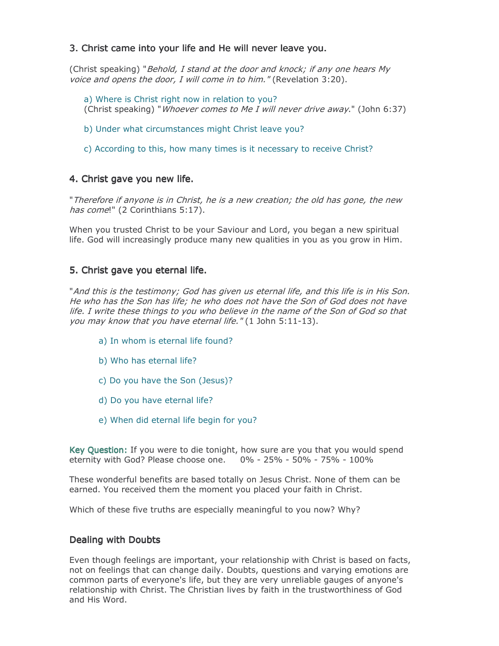#### 3. Christ came into your life and He will never leave you.

(Christ speaking) "Behold, I stand at the door and knock; if any one hears My voice and opens the door, I will come in to him." (Revelation 3:20).

a) Where is Christ right now in relation to you? (Christ speaking) "Whoever comes to Me I will never drive away." (John 6:37)

b) Under what circumstances might Christ leave you?

c) According to this, how many times is it necessary to receive Christ?

#### 4. Christ gave you new life.

"Therefore if anyone is in Christ, he is a new creation; the old has gone, the new has come!" (2 Corinthians 5:17).

When you trusted Christ to be your Saviour and Lord, you began a new spiritual life. God will increasingly produce many new qualities in you as you grow in Him.

#### 5. Christ gave you eternal life.

"And this is the testimony; God has given us eternal life, and this life is in His Son. He who has the Son has life; he who does not have the Son of God does not have life. I write these things to you who believe in the name of the Son of God so that you may know that you have eternal life." (1 John 5:11-13).

- a) In whom is eternal life found?
- b) Who has eternal life?
- c) Do you have the Son (Jesus)?
- d) Do you have eternal life?
- e) When did eternal life begin for you?

Key Ouestion: If you were to die tonight, how sure are you that you would spend eternity with God? Please choose one. 0% - 25% - 50% - 75% - 100%

These wonderful benefits are based totally on Jesus Christ. None of them can be earned. You received them the moment you placed your faith in Christ.

Which of these five truths are especially meaningful to you now? Why?

#### **Dealing with Doubts**

Even though feelings are important, your relationship with Christ is based on facts, not on feelings that can change daily. Doubts, questions and varying emotions are common parts of everyone's life, but they are very unreliable gauges of anyone's relationship with Christ. The Christian lives by faith in the trustworthiness of God and His Word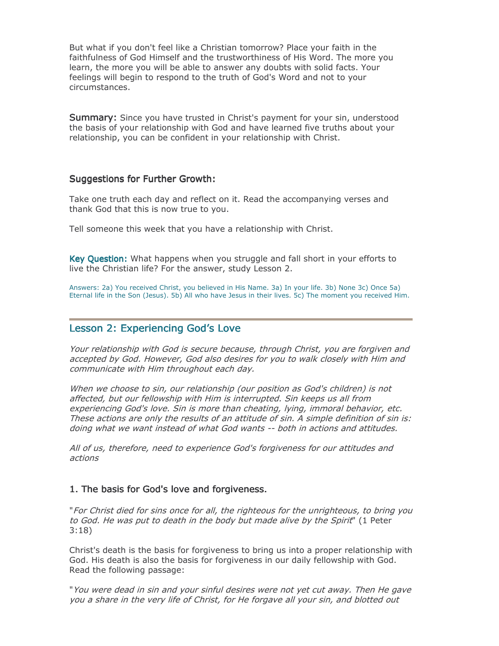But what if you don't feel like a Christian tomorrow? Place your faith in the faithfulness of God Himself and the trustworthiness of His Word. The more you learn, the more you will be able to answer any doubts with solid facts. Your feelings will begin to respond to the truth of God's Word and not to your circumstances.

Summary: Since you have trusted in Christ's payment for your sin, understood the basis of your relationship with God and have learned five truths about your relationship, you can be confident in your relationship with Christ.

#### **Suggestions for Further Growth:**

Take one truth each day and reflect on it. Read the accompanying verses and thank God that this is now true to you.

Tell someone this week that you have a relationship with Christ.

Key Question: What happens when you struggle and fall short in your efforts to live the Christian life? For the answer, study Lesson 2.

Answers: 2a) You received Christ, you believed in His Name. 3a) In your life. 3b) None 3c) Once 5a) Eternal life in the Son (Jesus). 5b) All who have Jesus in their lives. 5c) The moment you received Him.

#### **Lesson 2: Experiencing God's Love**

Your relationship with God is secure because, through Christ, you are forgiven and accepted by God. However, God also desires for you to walk closely with Him and communicate with Him throughout each day.

When we choose to sin, our relationship (our position as God's children) is not affected, but our fellowship with Him is interrupted. Sin keeps us all from experiencing God's love. Sin is more than cheating, lying, immoral behavior, etc. These actions are only the results of an attitude of sin. A simple definition of sin is: doing what we want instead of what God wants -- both in actions and attitudes.

All of us, therefore, need to experience God's forgiveness for our attitudes and actions

#### 1. The basis for God's love and forgiveness.

"For Christ died for sins once for all, the righteous for the unrighteous, to bring you to God. He was put to death in the body but made alive by the Spirit" (1 Peter  $3:18$ 

Christ's death is the basis for forgiveness to bring us into a proper relationship with God. His death is also the basis for forgiveness in our daily fellowship with God. Read the following passage:

"You were dead in sin and your sinful desires were not yet cut away. Then He gave you a share in the very life of Christ, for He forgave all your sin, and blotted out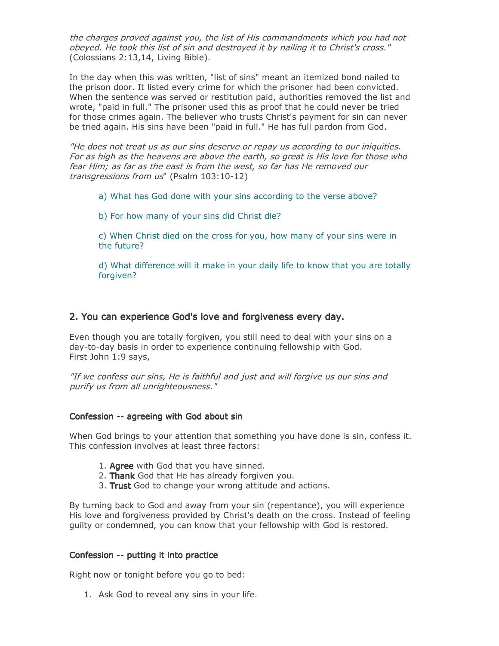the charges proved against you, the list of His commandments which you had not obeyed. He took this list of sin and destroyed it by nailing it to Christ's cross." (Colossians 2:13,14, Living Bible).

In the day when this was written, "list of sins" meant an itemized bond nailed to the prison door. It listed every crime for which the prisoner had been convicted. When the sentence was served or restitution paid, authorities removed the list and wrote, "paid in full." The prisoner used this as proof that he could never be tried for those crimes again. The believer who trusts Christ's payment for sin can never be tried again. His sins have been "paid in full." He has full pardon from God.

"He does not treat us as our sins deserve or repay us according to our iniquities. For as high as the heavens are above the earth, so great is His love for those who fear Him; as far as the east is from the west, so far has He removed our transgressions from us" (Psalm 103:10-12)

- a) What has God done with your sins according to the verse above?
- b) For how many of your sins did Christ die?

c) When Christ died on the cross for you, how many of your sins were in the future?

d) What difference will it make in your daily life to know that you are totally forgiven?

#### 2. You can experience God's love and forgiveness every day.

Even though you are totally forgiven, you still need to deal with your sins on a day-to-day basis in order to experience continuing fellowship with God. First John 1:9 says,

"If we confess our sins, He is faithful and just and will forgive us our sins and purify us from all unrighteousness."

#### Confession -- agreeing with God about sin

When God brings to your attention that something you have done is sin, confess it. This confession involves at least three factors:

- 1. Agree with God that you have sinned.
- 2. Thank God that He has already forgiven you.
- 3. Trust God to change your wrong attitude and actions.

By turning back to God and away from your sin (repentance), you will experience His love and forgiveness provided by Christ's death on the cross. Instead of feeling guilty or condemned, you can know that your fellowship with God is restored.

#### Confession -- putting it into practice

Right now or tonight before you go to bed:

1. Ask God to reveal any sins in your life.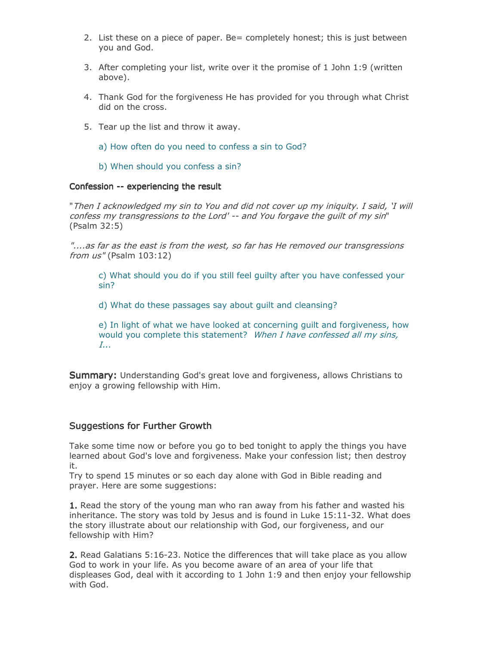- 2. List these on a piece of paper. Be= completely honest; this is just between you and God.
- 3. After completing your list, write over it the promise of 1 John 1:9 (written above).
- 4. Thank God for the forgiveness He has provided for you through what Christ did on the cross.
- 5. Tear up the list and throw it away.
	- a) How often do you need to confess a sin to God?
	- b) When should you confess a sin?

#### Confession -- experiencing the result

"Then I acknowledged my sin to You and did not cover up my iniquity. I said, 'I will confess my transgressions to the Lord' -- and You forgave the quilt of my sin" (Psalm 32:5)

"....as far as the east is from the west, so far has He removed our transgressions from us" (Psalm 103:12)

c) What should you do if you still feel quilty after you have confessed your  $sin?$ 

d) What do these passages say about guilt and cleansing?

e) In light of what we have looked at concerning quilt and forgiveness, how would you complete this statement? When I have confessed all my sins,  $I_{\cdots}$ 

**Summary:** Understanding God's great love and forgiveness, allows Christians to enjoy a growing fellowship with Him.

#### **Suggestions for Further Growth**

Take some time now or before you go to bed tonight to apply the things you have learned about God's love and forgiveness. Make your confession list; then destroy it.

Try to spend 15 minutes or so each day alone with God in Bible reading and prayer. Here are some suggestions:

1. Read the story of the young man who ran away from his father and wasted his inheritance. The story was told by Jesus and is found in Luke 15:11-32. What does the story illustrate about our relationship with God, our forgiveness, and our fellowship with Him?

2. Read Galatians 5:16-23. Notice the differences that will take place as you allow God to work in your life. As you become aware of an area of your life that displeases God, deal with it according to 1 John 1:9 and then enjoy your fellowship with God.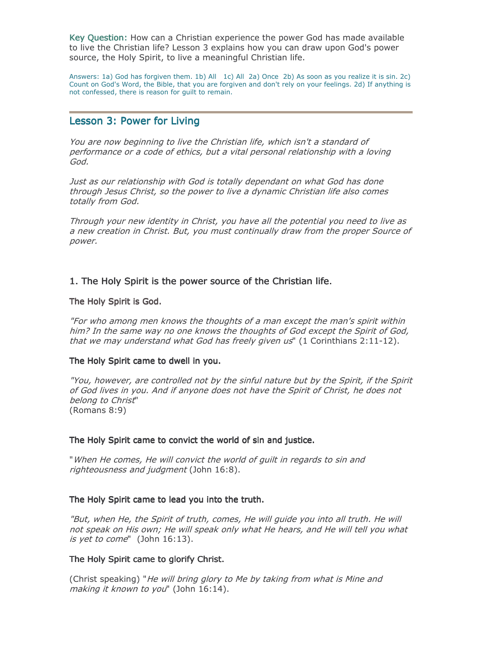Key Question: How can a Christian experience the power God has made available to live the Christian life? Lesson 3 explains how you can draw upon God's power source, the Holy Spirit, to live a meaningful Christian life.

Answers: 1a) God has forgiven them. 1b) All 1c) All 2a) Once 2b) As soon as you realize it is sin. 2c) Count on God's Word, the Bible, that you are forgiven and don't rely on your feelings. 2d) If anything is not confessed, there is reason for guilt to remain.

#### **Lesson 3: Power for Living**

You are now beginning to live the Christian life, which isn't a standard of performance or a code of ethics, but a vital personal relationship with a loving God.

Just as our relationship with God is totally dependant on what God has done through Jesus Christ, so the power to live a dynamic Christian life also comes totally from God.

Through your new identity in Christ, you have all the potential you need to live as a new creation in Christ. But, you must continually draw from the proper Source of power.

#### 1. The Holy Spirit is the power source of the Christian life.

#### The Holy Spirit is God.

"For who among men knows the thoughts of a man except the man's spirit within him? In the same way no one knows the thoughts of God except the Spirit of God, that we may understand what God has freely given us" (1 Corinthians 2:11-12).

#### The Holy Spirit came to dwell in you.

"You, however, are controlled not by the sinful nature but by the Spirit, if the Spirit of God lives in you. And if anyone does not have the Spirit of Christ, he does not belong to Christ"  $(Romans 8:9)$ 

#### The Holy Spirit came to convict the world of sin and justice.

"When He comes, He will convict the world of guilt in regards to sin and righteousness and judgment (John 16:8).

#### The Holy Spirit came to lead you into the truth.

"But, when He, the Spirit of truth, comes, He will guide you into all truth. He will not speak on His own; He will speak only what He hears, and He will tell you what is yet to come" (John 16:13).

#### The Holy Spirit came to glorify Christ.

(Christ speaking) "He will bring glory to Me by taking from what is Mine and making it known to you" (John 16:14).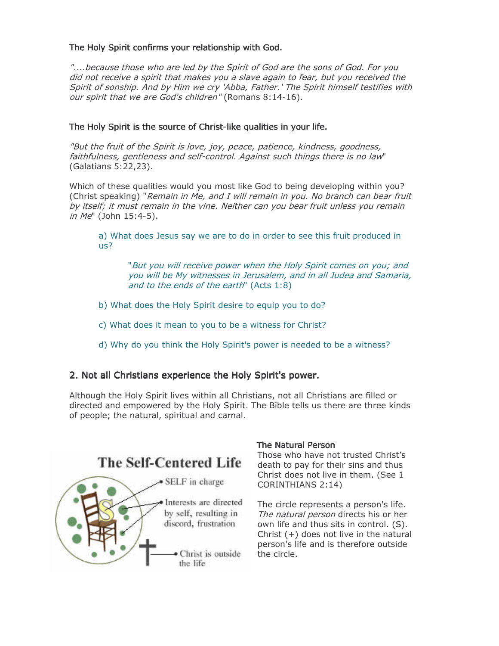#### The Holy Spirit confirms your relationship with God.

"....because those who are led by the Spirit of God are the sons of God. For you did not receive a spirit that makes you a slave again to fear, but you received the Spirit of sonship. And by Him we cry 'Abba, Father.' The Spirit himself testifies with our spirit that we are God's children" (Romans 8:14-16).

#### The Holy Spirit is the source of Christ-like qualities in your life.

"But the fruit of the Spirit is love, joy, peace, patience, kindness, goodness, faithfulness, gentleness and self-control. Against such things there is no law" (Galatians 5:22,23).

Which of these qualities would you most like God to being developing within you? (Christ speaking) "Remain in Me, and I will remain in you. No branch can bear fruit by itself; it must remain in the vine. Neither can you bear fruit unless you remain in Me" (John 15:4-5).

a) What does Jesus say we are to do in order to see this fruit produced in  $US?$ 

"But you will receive power when the Holy Spirit comes on you; and you will be My witnesses in Jerusalem, and in all Judea and Samaria, and to the ends of the earth" (Acts 1:8)

- b) What does the Holy Spirit desire to equip you to do?
- c) What does it mean to you to be a witness for Christ?
- d) Why do you think the Holy Spirit's power is needed to be a witness?

#### 2. Not all Christians experience the Holy Spirit's power.

Although the Holy Spirit lives within all Christians, not all Christians are filled or directed and empowered by the Holy Spirit. The Bible tells us there are three kinds of people; the natural, spiritual and carnal.



#### **The Natural Person**

Those who have not trusted Christ's death to pay for their sins and thus Christ does not live in them. (See 1 CORINTHIANS 2:14)

The circle represents a person's life. The natural person directs his or her own life and thus sits in control. (S). Christ  $(+)$  does not live in the natural person's life and is therefore outside the circle.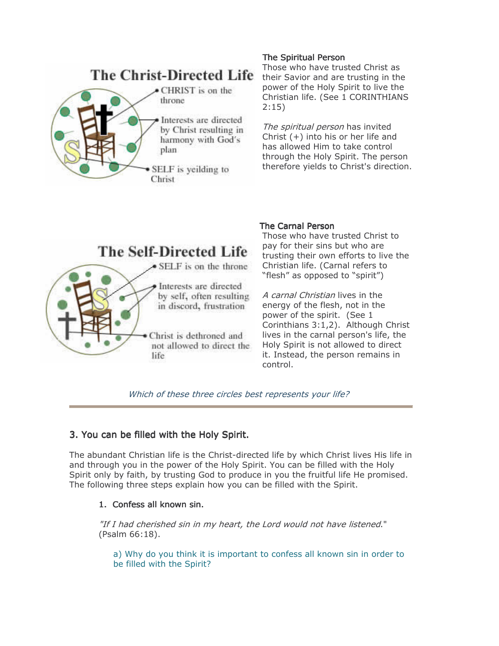

#### **The Spiritual Person**

Those who have trusted Christ as their Savior and are trusting in the power of the Holy Spirit to live the Christian life. (See 1 CORINTHIANS  $2:15)$ 

The spiritual person has invited Christ  $(+)$  into his or her life and has allowed Him to take control through the Holy Spirit. The person therefore yields to Christ's direction.

## **The Self-Directed Life** • SELF is on the throne Interests are directed by self, often resulting in discord, frustration Christ is dethroned and not allowed to direct the life

#### **The Carnal Person**

Those who have trusted Christ to pay for their sins but who are trusting their own efforts to live the Christian life. (Carnal refers to "flesh" as opposed to "spirit")

A carnal Christian lives in the energy of the flesh, not in the power of the spirit. (See 1 Corinthians 3:1,2). Although Christ lives in the carnal person's life, the Holy Spirit is not allowed to direct it. Instead, the person remains in control.

Which of these three circles best represents your life?

#### 3. You can be filled with the Holy Spirit.

The abundant Christian life is the Christ-directed life by which Christ lives His life in and through you in the power of the Holy Spirit. You can be filled with the Holy Spirit only by faith, by trusting God to produce in you the fruitful life He promised. The following three steps explain how you can be filled with the Spirit.

#### 1. Confess all known sin.

"If I had cherished sin in my heart, the Lord would not have listened." (Psalm 66:18).

a) Why do you think it is important to confess all known sin in order to be filled with the Spirit?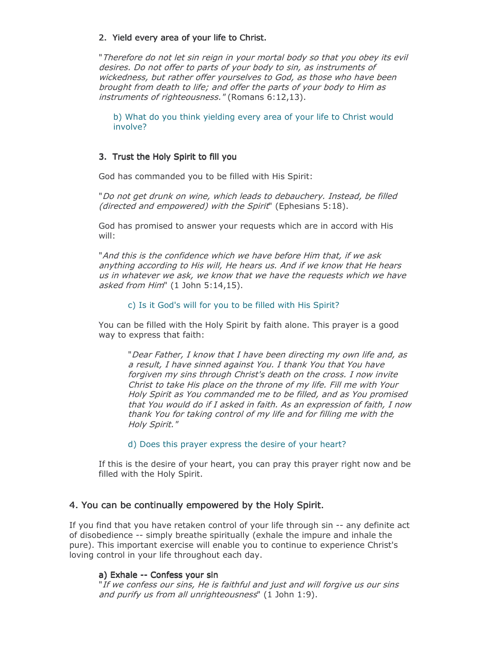#### 2. Yield every area of your life to Christ.

"Therefore do not let sin reign in your mortal body so that you obey its evil desires. Do not offer to parts of your body to sin, as instruments of wickedness, but rather offer vourselves to God, as those who have been brought from death to life; and offer the parts of your body to Him as instruments of righteousness." (Romans 6:12,13).

b) What do you think yielding every area of your life to Christ would involve?

#### 3. Trust the Holy Spirit to fill you

God has commanded you to be filled with His Spirit:

"Do not get drunk on wine, which leads to debauchery. Instead, be filled (directed and empowered) with the Spirit" (Ephesians 5:18).

God has promised to answer your requests which are in accord with His will:

"And this is the confidence which we have before Him that, if we ask anything according to His will, He hears us. And if we know that He hears us in whatever we ask, we know that we have the requests which we have asked from Him" (1 John 5:14,15).

#### c) Is it God's will for you to be filled with His Spirit?

You can be filled with the Holy Spirit by faith alone. This prayer is a good way to express that faith:

"Dear Father, I know that I have been directing my own life and, as a result, I have sinned against You. I thank You that You have forgiven my sins through Christ's death on the cross. I now invite Christ to take His place on the throne of my life. Fill me with Your Holy Spirit as You commanded me to be filled, and as You promised that You would do if I asked in faith. As an expression of faith, I now thank You for taking control of my life and for filling me with the Holy Spirit."

d) Does this prayer express the desire of your heart?

If this is the desire of your heart, you can pray this prayer right now and be filled with the Holy Spirit.

#### 4. You can be continually empowered by the Holy Spirit.

If you find that you have retaken control of your life through sin -- any definite act of disobedience -- simply breathe spiritually (exhale the impure and inhale the pure). This important exercise will enable you to continue to experience Christ's loving control in your life throughout each day.

#### a) Exhale -- Confess your sin

"If we confess our sins, He is faithful and just and will forgive us our sins and purify us from all unrighteousness" (1 John 1:9).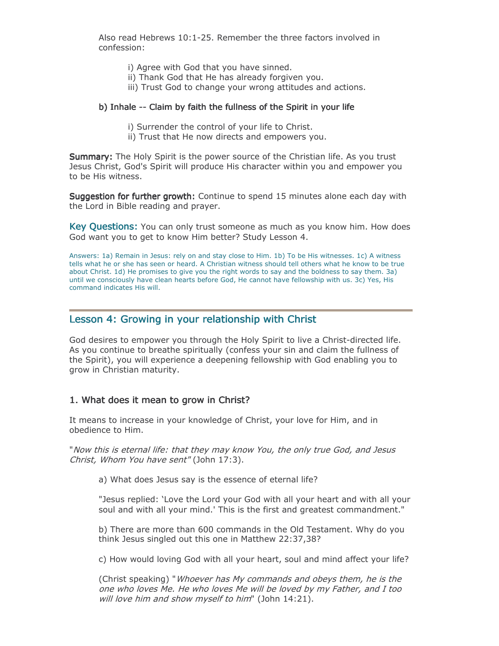Also read Hebrews 10:1-25. Remember the three factors involved in confession:

- i) Agree with God that you have sinned.
- ii) Thank God that He has already forgiven you.
- iii) Trust God to change your wrong attitudes and actions.

#### b) Inhale -- Claim by faith the fullness of the Spirit in your life

- i) Surrender the control of your life to Christ.
- ii) Trust that He now directs and empowers you.

Summary: The Holy Spirit is the power source of the Christian life. As you trust Jesus Christ, God's Spirit will produce His character within you and empower you to be His witness.

Suggestion for further growth: Continue to spend 15 minutes alone each day with the Lord in Bible reading and prayer.

**Key Questions:** You can only trust someone as much as you know him. How does God want you to get to know Him better? Study Lesson 4.

Answers: 1a) Remain in Jesus: rely on and stay close to Him. 1b) To be His witnesses. 1c) A witness tells what he or she has seen or heard. A Christian witness should tell others what he know to be true about Christ. 1d) He promises to give you the right words to say and the boldness to say them. 3a) until we consciously have clean hearts before God, He cannot have fellowship with us. 3c) Yes, His command indicates His will.

#### Lesson 4: Growing in your relationship with Christ

God desires to empower you through the Holy Spirit to live a Christ-directed life. As you continue to breathe spiritually (confess your sin and claim the fullness of the Spirit), you will experience a deepening fellowship with God enabling you to grow in Christian maturity.

#### 1. What does it mean to grow in Christ?

It means to increase in your knowledge of Christ, your love for Him, and in obedience to Him.

"Now this is eternal life: that they may know You, the only true God, and Jesus Christ, Whom You have sent" (John 17:3).

a) What does Jesus say is the essence of eternal life?

"Jesus replied: 'Love the Lord your God with all your heart and with all your soul and with all your mind.' This is the first and greatest commandment."

b) There are more than 600 commands in the Old Testament. Why do you think Jesus singled out this one in Matthew 22:37,38?

c) How would loving God with all your heart, soul and mind affect your life?

(Christ speaking) "Whoever has My commands and obeys them, he is the one who loves Me. He who loves Me will be loved by my Father, and I too will love him and show myself to him" (John 14:21).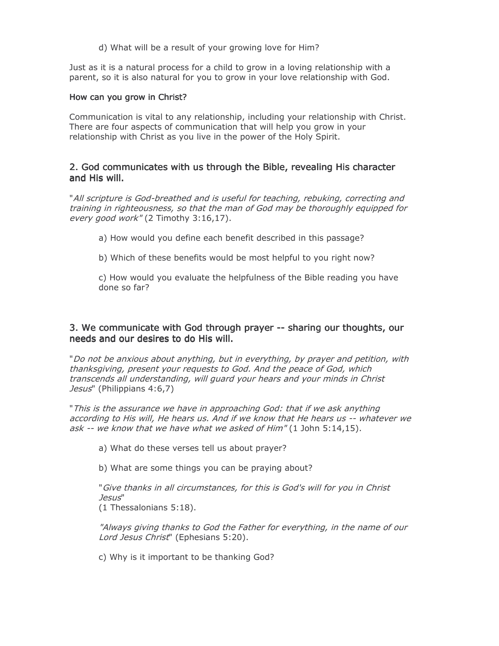d) What will be a result of your growing love for Him?

Just as it is a natural process for a child to grow in a loving relationship with a parent, so it is also natural for you to grow in your love relationship with God.

#### How can you grow in Christ?

Communication is vital to any relationship, including your relationship with Christ. There are four aspects of communication that will help you grow in your relationship with Christ as you live in the power of the Holy Spirit.

#### 2. God communicates with us through the Bible, revealing His character and His will.

"All scripture is God-breathed and is useful for teaching, rebuking, correcting and training in righteousness, so that the man of God may be thoroughly equipped for every good work" (2 Timothy 3:16,17).

- a) How would you define each benefit described in this passage?
- b) Which of these benefits would be most helpful to you right now?

c) How would you evaluate the helpfulness of the Bible reading you have done so far?

#### 3. We communicate with God through prayer -- sharing our thoughts, our needs and our desires to do His will.

"Do not be anxious about anything, but in everything, by prayer and petition, with thanksgiving, present your requests to God. And the peace of God, which transcends all understanding, will quard your hears and your minds in Christ Jesus" (Philippians 4:6,7)

"This is the assurance we have in approaching God: that if we ask anything according to His will, He hears us. And if we know that He hears us -- whatever we ask -- we know that we have what we asked of Him" (1 John 5:14,15).

a) What do these verses tell us about prayer?

b) What are some things you can be praying about?

"Give thanks in all circumstances, for this is God's will for you in Christ Jesus" (1 Thessalonians 5:18).

"Always giving thanks to God the Father for everything, in the name of our Lord Jesus Christ" (Ephesians 5:20).

c) Why is it important to be thanking God?